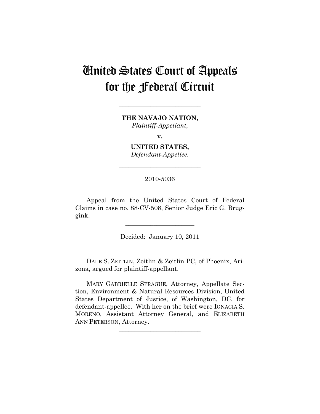# United States Court of Appeals for the Federal Circuit

**THE NAVAJO NATION,**  *Plaintiff-Appellant,* 

**\_\_\_\_\_\_\_\_\_\_\_\_\_\_\_\_\_\_\_\_\_\_\_\_\_\_** 

**v.** 

**UNITED STATES,**  *Defendant-Appellee.* 

**\_\_\_\_\_\_\_\_\_\_\_\_\_\_\_\_\_\_\_\_\_\_\_\_\_\_** 

# 2010-5036 **\_\_\_\_\_\_\_\_\_\_\_\_\_\_\_\_\_\_\_\_\_\_\_\_\_\_**

Appeal from the United States Court of Federal Claims in case no. 88-CV-508, Senior Judge Eric G. Bruggink.

**\_\_\_\_\_\_\_\_\_\_\_\_\_\_\_\_\_\_\_\_\_\_** 

Decided: January 10, 2011

**\_\_\_\_\_\_\_\_\_\_\_\_\_\_\_\_\_\_\_\_\_\_\_** 

DALE S. ZEITLIN, Zeitlin & Zeitlin PC, of Phoenix, Arizona, argued for plaintiff-appellant.

MARY GABRIELLE SPRAGUE, Attorney, Appellate Section, Environment & Natural Resources Division, United States Department of Justice, of Washington, DC, for defendant-appellee. With her on the brief were IGNACIA S. MORENO, Assistant Attorney General, and ELIZABETH ANN PETERSON, Attorney.

**\_\_\_\_\_\_\_\_\_\_\_\_\_\_\_\_\_\_\_\_\_\_\_\_\_\_**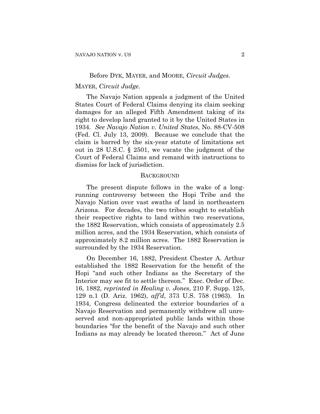#### Before DYK, MAYER, and MOORE, *Circuit Judges*.

#### MAYER, *Circuit Judge*.

The Navajo Nation appeals a judgment of the United States Court of Federal Claims denying its claim seeking damages for an alleged Fifth Amendment taking of its right to develop land granted to it by the United States in 1934. *See Navajo Nation v. United States*, No. 88-CV-508 (Fed. Cl. July 13, 2009). Because we conclude that the claim is barred by the six-year statute of limitations set out in 28 U.S.C. § 2501, we vacate the judgment of the Court of Federal Claims and remand with instructions to dismiss for lack of jurisdiction.

## **BACKGROUND**

The present dispute follows in the wake of a longrunning controversy between the Hopi Tribe and the Navajo Nation over vast swaths of land in northeastern Arizona. For decades, the two tribes sought to establish their respective rights to land within two reservations, the 1882 Reservation, which consists of approximately 2.5 million acres, and the 1934 Reservation, which consists of approximately 8.2 million acres. The 1882 Reservation is surrounded by the 1934 Reservation.

On December 16, 1882, President Chester A. Arthur established the 1882 Reservation for the benefit of the Hopi "and such other Indians as the Secretary of the Interior may see fit to settle thereon." Exec. Order of Dec. 16, 1882, *reprinted in Healing v. Jones*, 210 F. Supp. 125, 129 n.1 (D. Ariz. 1962), *aff'd*, 373 U.S. 758 (1963). In 1934, Congress delineated the exterior boundaries of a Navajo Reservation and permanently withdrew all unreserved and non-appropriated public lands within those boundaries "for the benefit of the Navajo and such other Indians as may already be located thereon." Act of June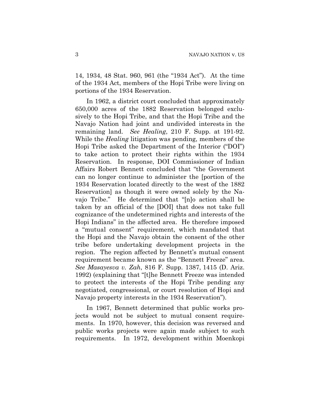14, 1934, 48 Stat. 960, 961 (the "1934 Act"). At the time of the 1934 Act, members of the Hopi Tribe were living on portions of the 1934 Reservation.

In 1962, a district court concluded that approximately 650,000 acres of the 1882 Reservation belonged exclusively to the Hopi Tribe, and that the Hopi Tribe and the Navajo Nation had joint and undivided interests in the remaining land. *See Healing*, 210 F. Supp. at 191-92. While the *Healing* litigation was pending, members of the Hopi Tribe asked the Department of the Interior ("DOI") to take action to protect their rights within the 1934 Reservation. In response, DOI Commissioner of Indian Affairs Robert Bennett concluded that "the Government can no longer continue to administer the [portion of the 1934 Reservation located directly to the west of the 1882 Reservation] as though it were owned solely by the Navajo Tribe." He determined that "[n]o action shall be taken by an official of the [DOI] that does not take full cognizance of the undetermined rights and interests of the Hopi Indians" in the affected area. He therefore imposed a "mutual consent" requirement, which mandated that the Hopi and the Navajo obtain the consent of the other tribe before undertaking development projects in the region. The region affected by Bennett's mutual consent requirement became known as the "Bennett Freeze" area. *See Masayesva v. Zah*, 816 F. Supp. 1387, 1415 (D. Ariz. 1992) (explaining that "[t]he Bennett Freeze was intended to protect the interests of the Hopi Tribe pending any negotiated, congressional, or court resolution of Hopi and Navajo property interests in the 1934 Reservation").

In 1967, Bennett determined that public works projects would not be subject to mutual consent requirements. In 1970, however, this decision was reversed and public works projects were again made subject to such requirements. In 1972, development within Moenkopi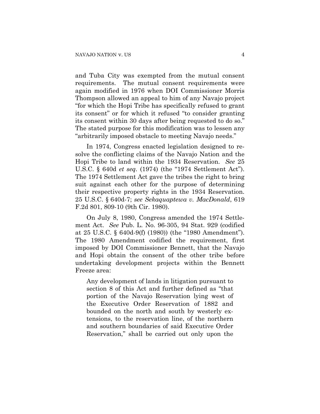and Tuba City was exempted from the mutual consent requirements. The mutual consent requirements were again modified in 1976 when DOI Commissioner Morris Thompson allowed an appeal to him of any Navajo project "for which the Hopi Tribe has specifically refused to grant its consent" or for which it refused "to consider granting its consent within 30 days after being requested to do so." The stated purpose for this modification was to lessen any "arbitrarily imposed obstacle to meeting Navajo needs."

In 1974, Congress enacted legislation designed to resolve the conflicting claims of the Navajo Nation and the Hopi Tribe to land within the 1934 Reservation. *See* 25 U.S.C. § 640d *et seq.* (1974) (the "1974 Settlement Act"). The 1974 Settlement Act gave the tribes the right to bring suit against each other for the purpose of determining their respective property rights in the 1934 Reservation. 25 U.S.C. § 640d-7; *see Sekaquaptewa v. MacDonald*, 619 F.2d 801, 809-10 (9th Cir. 1980).

On July 8, 1980, Congress amended the 1974 Settlement Act. *See* Pub. L. No. 96-305, 94 Stat. 929 (codified at 25 U.S.C. § 640d-9(f) (1980)) (the "1980 Amendment"). The 1980 Amendment codified the requirement, first imposed by DOI Commissioner Bennett, that the Navajo and Hopi obtain the consent of the other tribe before undertaking development projects within the Bennett Freeze area:

Any development of lands in litigation pursuant to section 8 of this Act and further defined as "that portion of the Navajo Reservation lying west of the Executive Order Reservation of 1882 and bounded on the north and south by westerly extensions, to the reservation line, of the northern and southern boundaries of said Executive Order Reservation," shall be carried out only upon the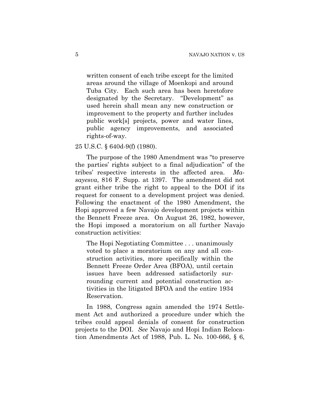written consent of each tribe except for the limited areas around the village of Moenkopi and around Tuba City. Each such area has been heretofore designated by the Secretary. "Development" as used herein shall mean any new construction or improvement to the property and further includes public work[s] projects, power and water lines, public agency improvements, and associated rights-of-way.

## 25 U.S.C. § 640d-9(f) (1980).

The purpose of the 1980 Amendment was "to preserve the parties' rights subject to a final adjudication" of the tribes' respective interests in the affected area. *Masayesva*, 816 F. Supp. at 1397. The amendment did not grant either tribe the right to appeal to the DOI if its request for consent to a development project was denied. Following the enactment of the 1980 Amendment, the Hopi approved a few Navajo development projects within the Bennett Freeze area. On August 26, 1982, however, the Hopi imposed a moratorium on all further Navajo construction activities:

The Hopi Negotiating Committee . . . unanimously voted to place a moratorium on any and all construction activities, more specifically within the Bennett Freeze Order Area (BFOA), until certain issues have been addressed satisfactorily surrounding current and potential construction activities in the litigated BFOA and the entire 1934 Reservation.

In 1988, Congress again amended the 1974 Settlement Act and authorized a procedure under which the tribes could appeal denials of consent for construction projects to the DOI. *See* Navajo and Hopi Indian Relocation Amendments Act of 1988, Pub. L. No. 100-666, § 6,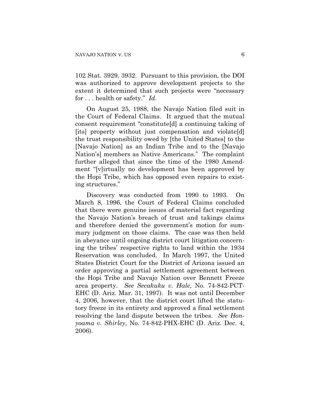102 Stat. 3929, 3932. Pursuant to this provision, the DOI was authorized to approve development projects to the extent it determined that such projects were "necessary for . . . health or safety." *Id.*

On August 25, 1988, the Navajo Nation filed suit in the Court of Federal Claims. It argued that the mutual consent requirement "constitute[d] a continuing taking of [its] property without just compensation and violate[d] the trust responsibility owed by [the United States] to the [Navajo Nation] as an Indian Tribe and to the [Navajo Nation's] members as Native Americans." The complaint further alleged that since the time of the 1980 Amendment "[v]irtually no development has been approved by the Hopi Tribe, which has opposed even repairs to existing structures."

Discovery was conducted from 1990 to 1993. On March 8, 1996, the Court of Federal Claims concluded that there were genuine issues of material fact regarding the Navajo Nation's breach of trust and takings claims and therefore denied the government's motion for summary judgment on those claims. The case was then held in abeyance until ongoing district court litigation concerning the tribes' respective rights to land within the 1934 Reservation was concluded. In March 1997, the United States District Court for the District of Arizona issued an order approving a partial settlement agreement between the Hopi Tribe and Navajo Nation over Bennett Freeze area property. *See Secakuku v. Hale*, No. 74-842-PCT-EHC (D. Ariz. Mar. 31, 1997). It was not until December 4, 2006, however, that the district court lifted the statutory freeze in its entirety and approved a final settlement resolving the land dispute between the tribes. *See Honyoama v. Shirley*, No. 74-842-PHX-EHC (D. Ariz. Dec. 4, 2006).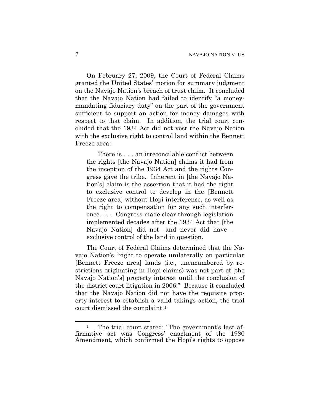On February 27, 2009, the Court of Federal Claims granted the United States' motion for summary judgment on the Navajo Nation's breach of trust claim. It concluded that the Navajo Nation had failed to identify "a moneymandating fiduciary duty" on the part of the government sufficient to support an action for money damages with respect to that claim. In addition, the trial court concluded that the 1934 Act did not vest the Navajo Nation with the exclusive right to control land within the Bennett Freeze area:

There is . . . an irreconcilable conflict between the rights [the Navajo Nation] claims it had from the inception of the 1934 Act and the rights Congress gave the tribe. Inherent in [the Navajo Nation's] claim is the assertion that it had the right to exclusive control to develop in the [Bennett Freeze area] without Hopi interference, as well as the right to compensation for any such interference. . . . Congress made clear through legislation implemented decades after the 1934 Act that [the Navajo Nation] did not—and never did have exclusive control of the land in question.

The Court of Federal Claims determined that the Navajo Nation's "right to operate unilaterally on particular [Bennett Freeze area] lands (i.e., unencumbered by restrictions originating in Hopi claims) was not part of [the Navajo Nation's] property interest until the conclusion of the district court litigation in 2006." Because it concluded that the Navajo Nation did not have the requisite property interest to establish a valid takings action, the trial court dismissed the complaint.[1](#page-6-0)

<span id="page-6-0"></span> $\overline{a}$ <sup>1</sup> The trial court stated: "The government's last affirmative act was Congress' enactment of the 1980 Amendment, which confirmed the Hopi's rights to oppose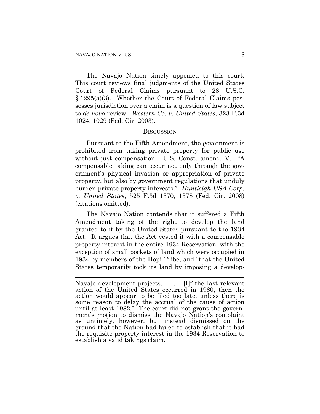$\overline{a}$ 

The Navajo Nation timely appealed to this court. This court reviews final judgments of the United States Court of Federal Claims pursuant to 28 U.S.C. § 1295(a)(3). Whether the Court of Federal Claims possesses jurisdiction over a claim is a question of law subject to *de novo* review. *Western Co. v. United States*, 323 F.3d 1024, 1029 (Fed. Cir. 2003).

#### **DISCUSSION**

Pursuant to the [Fifth Amendment, the government is](https://www.lexis.com/research/buttonTFLink?_m=cc05cdf9215cd3bcc235f2c2e344ff59&_xfercite=%3ccite%20cc%3d%22USA%22%3e%3c%21%5bCDATA%5b271%20F.3d%201090%5d%5d%3e%3c%2fcite%3e&_butType=4&_butStat=0&_butNum=48&_butInline=1&_butinfo=U.S.%20CONST.%20AMEND.%205&_fmtstr=FULL&docnum=2&_startdoc=1&wchp=dGLbVlz-zSkAz&_md5=7a42747de08c63208b198ada842fdb44)  [prohibited](https://www.lexis.com/research/buttonTFLink?_m=cc05cdf9215cd3bcc235f2c2e344ff59&_xfercite=%3ccite%20cc%3d%22USA%22%3e%3c%21%5bCDATA%5b271%20F.3d%201090%5d%5d%3e%3c%2fcite%3e&_butType=4&_butStat=0&_butNum=48&_butInline=1&_butinfo=U.S.%20CONST.%20AMEND.%205&_fmtstr=FULL&docnum=2&_startdoc=1&wchp=dGLbVlz-zSkAz&_md5=7a42747de08c63208b198ada842fdb44) from taking private property for public use without just compensation. [U.S. Const. amend.](https://www.lexis.com/research/buttonTFLink?_m=cc05cdf9215cd3bcc235f2c2e344ff59&_xfercite=%3ccite%20cc%3d%22USA%22%3e%3c%21%5bCDATA%5b271%20F.3d%201090%5d%5d%3e%3c%2fcite%3e&_butType=4&_butStat=0&_butNum=49&_butInline=1&_butinfo=U.S.%20CONST.%20AMEND.%205&_fmtstr=FULL&docnum=2&_startdoc=1&wchp=dGLbVlz-zSkAz&_md5=ac72dabae2eb66afba5562d9ea8e4f80) V. "A compensable taking can occur not only through the government's physical invasion or appropriation of private property, but also by government regulations that unduly burden private property interests." *Huntleigh USA Corp. v. United States*, 525 F.3d 1370, 1378 (Fed. Cir. 2008) (citations omitted).

The Navajo Nation contends that it suffered a Fifth Amendment taking of the right to develop the land granted to it by the United States pursuant to the 1934 Act. It argues that the Act vested it with a compensable property interest in the entire 1934 Reservation, with the exception of small pockets of land which were occupied in 1934 by members of the Hopi Tribe, and "that the United States temporarily took its land by imposing a develop-

Navajo development projects. . . . [I]f the last relevant action of the United States occurred in 1980, then the action would appear to be filed too late, unless there is some reason to delay the accrual of the cause of action until at least 1982." The court did not grant the government's motion to dismiss the Navajo Nation's complaint as untimely, however, but instead dismissed on the ground that the Nation had failed to establish that it had the requisite property interest in the 1934 Reservation to establish a valid takings claim.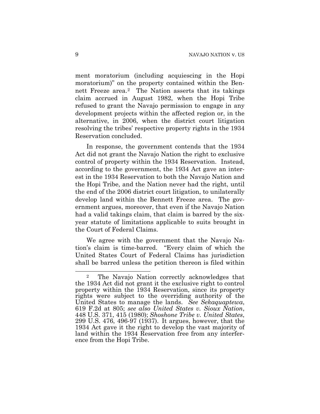ment moratorium (including acquiescing in the Hopi moratorium)" on the property contained within the Bennett Freeze area.[2](#page-8-0) The Nation asserts that its takings claim accrued in August 1982, when the Hopi Tribe refused to grant the Navajo permission to engage in any development projects within the affected region or, in the alternative, in 2006, when the district court litigation resolving the tribes' respective property rights in the 1934 Reservation concluded.

In response, the government contends that the 1934 Act did not grant the Navajo Nation the right to exclusive control of property within the 1934 Reservation. Instead, according to the government, the 1934 Act gave an interest in the 1934 Reservation to both the Navajo Nation and the Hopi Tribe, and the Nation never had the right, until the end of the 2006 district court litigation, to unilaterally develop land within the Bennett Freeze area. The government argues, moreover, that even if the Navajo Nation had a valid takings claim, that claim is barred by the sixyear statute of limitations applicable to suits brought in the Court of Federal Claims.

We agree with the government that the Navajo Nation's claim is time-barred. "Every claim of which the United States Court of Federal Claims has jurisdiction shall be barred unless the petition thereon is filed within

 $\overline{a}$ 

<span id="page-8-0"></span><sup>2</sup> The Navajo Nation correctly acknowledges that the 1934 Act did not grant it the exclusive right to control property within the 1934 Reservation, since its property rights were subject to the overriding authority of the United States to manage the lands. See Sekaquaptewa, 619 F.2d at 805; see also United States v. Sioux Nation, 448 U.S. 371, 415 (1980); Shoshone Tribe v. United States, 299 U.S. 476, 496-97 (1937). It argues, however, that 1934 Act gave it the right to develop the vast majority of land within the 1934 Reservation free from any interference from the Hopi Tribe.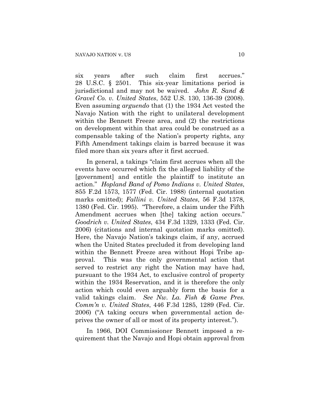six years after such claim first accrues." 28 U.S.C. § 2501. This six-year limitations period is jurisdictional and may not be waived. *John R. Sand & Gravel Co. v. United States*, 552 U.S. 130, 136-39 (2008). Even assuming *arguendo* that (1) the 1934 Act vested the Navajo Nation with the right to unilateral development within the Bennett Freeze area, and (2) the restrictions on development within that area could be construed as a compensable taking of the Nation's property rights, any Fifth Amendment takings claim is barred because it was filed more than six years after it first accrued.

In general, a takings "claim first accrues when all the events have occurred which fix the alleged liability of the [government] and entitle the plaintiff to institute an action." *Hopland Band of Pomo Indians v. United States*, 855 F.2d 1573, 1577 (Fed. Cir. 1988) (internal quotation marks omitted); *Fallini v. United States*, 56 F.3d 1378, 1380 (Fed. Cir. 1995). "Therefore, a claim under the Fifth Amendment accrues when [the] taking action occurs." *Goodrich v. United States*, 434 F.3d 1329, 1333 (Fed. Cir. 2006) (citations and internal quotation marks omitted). Here, the Navajo Nation's takings claim, if any, accrued when the United States precluded it from developing land within the Bennett Freeze area without Hopi Tribe approval. This was the only governmental action that served to restrict any right the Nation may have had, pursuant to the 1934 Act, to exclusive control of property within the 1934 Reservation, and it is therefore the only action which could even arguably form the basis for a valid takings claim. *See Nw. La. Fish & Game Pres. Comm'n v. United States*, 446 F.3d 1285, 1289 (Fed. Cir. 2006) ("A taking occurs when governmental action deprives the owner of all or most of its property interest.").

In 1966, DOI Commissioner Bennett imposed a requirement that the Navajo and Hopi obtain approval from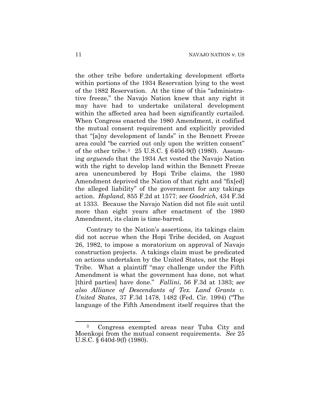the other tribe before undertaking development efforts within portions of the 1934 Reservation lying to the west of the 1882 Reservation. At the time of this "administrative freeze," the Navajo Nation knew that any right it may have had to undertake unilateral development within the affected area had been significantly curtailed. When Congress enacted the 1980 Amendment, it codified the mutual consent requirement and explicitly provided that "[a]ny development of lands" in the Bennett Freeze area could "be carried out only upon the written consent" of the other tribe.[3](#page-10-0) 25 U.S.C. § 640d-9(f) (1980). Assuming *arguendo* that the 1934 Act vested the Navajo Nation with the right to develop land within the Bennett Freeze area unencumbered by Hopi Tribe claims, the 1980 Amendment deprived the Nation of that right and "fix[ed] the alleged liability" of the government for any takings action. *Hopland*, 855 F.2d at 1577; *see Goodrich*, 434 F.3d at 1333. Because the Navajo Nation did not file suit until more than eight years after enactment of the 1980 Amendment, its claim is time-barred.

Contrary to the Nation's assertions, its takings claim did not accrue when the Hopi Tribe decided, on August 26, 1982, to impose a moratorium on approval of Navajo construction projects. A takings claim must be predicated on actions undertaken by the United States, not the Hopi Tribe. What a plaintiff "may challenge under the Fifth Amendment is what the government has done, not what [third parties] have done." *Fallini*, 56 F.3d at 1383; *see also Alliance of Descendants of Tex. Land Grants v. United States*, 37 F.3d 1478, 1482 (Fed. Cir. 1994) ("The language of the Fifth Amendment itself requires that the

1

<span id="page-10-0"></span><sup>3</sup> Congress exempted areas near Tuba City and Moenkopi from the mutual consent requirements. *See* 25 U.S.C. § 640d-9(f) (1980).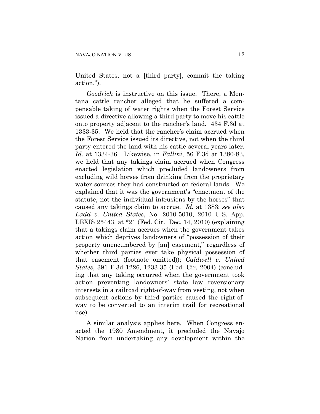United States, not a [third party], commit the taking action.").

*Goodrich* is instructive on this issue. There, a Montana cattle rancher alleged that he suffered a compensable taking of water rights when the Forest Service issued a directive allowing a third party to move his cattle onto property adjacent to the rancher's land. 434 F.3d at 1333-35. We held that the rancher's claim accrued when the Forest Service issued its directive, not when the third party entered the land with his cattle several years later. *Id.* at 1334-36. Likewise, in *Fallini*, 56 F.3d at 1380-83, we held that any takings claim accrued when Congress enacted legislation which precluded landowners from excluding wild horses from drinking from the proprietary water sources they had constructed on federal lands. We explained that it was the government's "enactment of the statute, not the individual intrusions by the horses" that caused any takings claim to accrue. *Id.* at 1383; *see also Ladd v. United States*, No. 2010-5010, 2010 U.S. App. LEXIS 25443, at \*21 (Fed. Cir. Dec. 14, 2010) (explaining that a takings claim accrues when the government takes action which deprives landowners of "possession of their property unencumbered by [an] easement," regardless of whether third parties ever take physical possession of that easement (footnote omitted)); *Caldwell v. United States*, 391 F.3d 1226, 1233-35 (Fed. Cir. 2004) (concluding that any taking occurred when the government took action preventing landowners' state law reversionary interests in a railroad right-of-way from vesting, not when subsequent actions by third parties caused the right-ofway to be converted to an interim trail for recreational use).

A similar analysis applies here. When Congress enacted the 1980 Amendment, it precluded the Navajo Nation from undertaking any development within the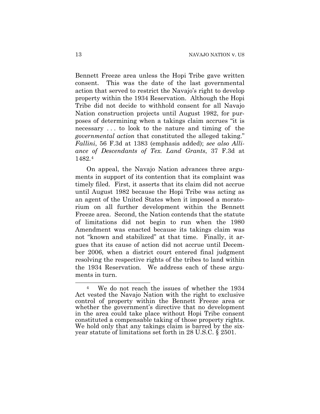Bennett Freeze area unless the Hopi Tribe gave written consent. This was the date of the last governmental action that served to restrict the Navajo's right to develop property within the 1934 Reservation. Although the Hopi Tribe did not decide to withhold consent for all Navajo Nation construction projects until August 1982, for purposes of determining when a takings claim accrues "it is necessary . . . to look to the nature and timing of the *governmental action* that constituted the alleged taking." *Fallini*, 56 F.3d at 1383 (emphasis added); *see also Alliance of Descendants of Tex. Land Grants*, 37 F.3d at 1482.[4](#page-12-0)

On appeal, the Navajo Nation advances three arguments in support of its contention that its complaint was timely filed. First, it asserts that its claim did not accrue until August 1982 because the Hopi Tribe was acting as an agent of the United States when it imposed a moratorium on all further development within the Bennett Freeze area. Second, the Nation contends that the statute of limitations did not begin to run when the 1980 Amendment was enacted because its takings claim was not "known and stabilized" at that time. Finally, it argues that its cause of action did not accrue until December 2006, when a district court entered final judgment resolving the respective rights of the tribes to land within the 1934 Reservation. We address each of these arguments in turn.

 $\overline{a}$ 

<span id="page-12-0"></span><sup>4</sup> We do not reach the issues of whether the 1934 Act vested the Navajo Nation with the right to exclusive control of property within the Bennett Freeze area or whether the government's directive that no development in the area could take place without Hopi Tribe consent constituted a compensable taking of those property rights. We hold only that any takings claim is barred by the sixyear statute of limitations set forth in 28 U.S.C. § 2501.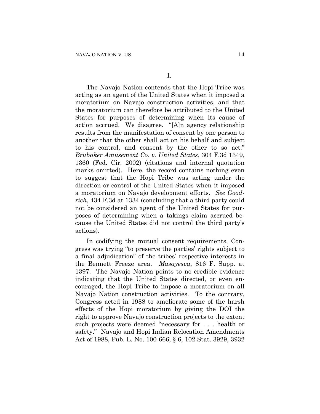The Navajo Nation contends that the Hopi Tribe was acting as an agent of the United States when it imposed a moratorium on Navajo construction activities, and that the moratorium can therefore be attributed to the United States for purposes of determining when its cause of action accrued. We disagree. "[A]n agency relationship results from the manifestation of consent by one person to another that the other shall act on his behalf and subject to his control, and consent by the other to so act." *Brubaker Amusement Co. v. United States*, 304 F.3d 1349, 1360 (Fed. Cir. 2002) (citations and internal quotation marks omitted).Here, the record contains nothing even to suggest that the Hopi Tribe was acting under the direction or control of the United States when it imposed a moratorium on Navajo development efforts. *See Goodrich*, 434 F.3d at 1334 (concluding that a third party could not be considered an agent of the United States for purposes of determining when a takings claim accrued because the United States did not control the third party's actions).

In codifying the mutual consent requirements, Congress was trying "to preserve the parties' rights subject to a final adjudication" of the tribes' respective interests in the Bennett Freeze area. *Masayesva*, 816 F. Supp. at 1397. The Navajo Nation points to no credible evidence indicating that the United States directed, or even encouraged, the Hopi Tribe to impose a moratorium on all Navajo Nation construction activities. To the contrary, Congress acted in 1988 to ameliorate some of the harsh effects of the Hopi moratorium by giving the DOI the right to approve Navajo construction projects to the extent such projects were deemed "necessary for . . . health or safety." Navajo and Hopi Indian Relocation Amendments Act of 1988, Pub. L. No. 100-666, § 6, 102 Stat. 3929, 3932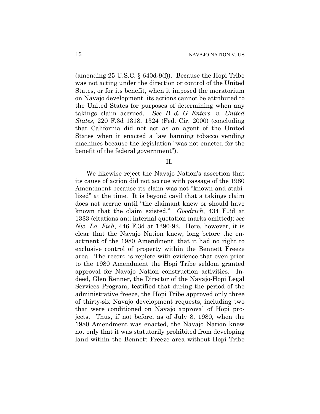(amending 25 U.S.C. § 640d-9(f)). Because the Hopi Tribe was not acting under the direction or control of the United States, or for its benefit, when it imposed the moratorium on Navajo development, its actions cannot be attributed to the United States for purposes of determining when any takings claim accrued. *See B & G Enters. v. United States*, 220 F.3d 1318, 1324 (Fed. Cir. 2000) (concluding that California did not act as an agent of the United States when it enacted a law banning tobacco vending machines because the legislation "was not enacted for the benefit of the federal government").

#### II.

We likewise reject the Navajo Nation's assertion that its cause of action did not accrue with passage of the 1980 Amendment because its claim was not "known and stabilized" at the time. It is beyond cavil that a takings claim does not accrue until "the claimant knew or should have known that the claim existed." *Goodrich*, 434 F.3d at 1333 (citations and internal quotation marks omitted); *see Nw. La. Fish*, 446 F.3d at 1290-92. Here, however, it is clear that the Navajo Nation knew, long before the enactment of the 1980 Amendment, that it had no right to exclusive control of property within the Bennett Freeze area. The record is replete with evidence that even prior to the 1980 Amendment the Hopi Tribe seldom granted approval for Navajo Nation construction activities. Indeed, Glen Renner, the Director of the Navajo-Hopi Legal Services Program, testified that during the period of the administrative freeze, the Hopi Tribe approved only three of thirty-six Navajo development requests, including two that were conditioned on Navajo approval of Hopi projects. Thus, if not before, as of July 8, 1980, when the 1980 Amendment was enacted, the Navajo Nation knew not only that it was statutorily prohibited from developing land within the Bennett Freeze area without Hopi Tribe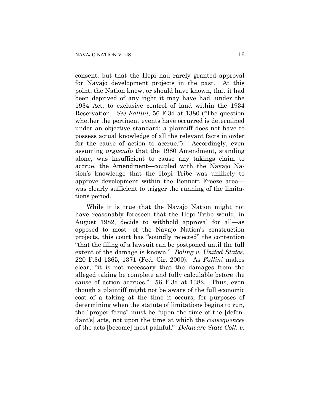consent, but that the Hopi had rarely granted approval for Navajo development projects in the past. At this point, the Nation knew, or should have known, that it had been deprived of any right it may have had, under the 1934 Act, to exclusive control of land within the 1934 Reservation. *See Fallini*, 56 F.3d at 1380 ("The question whether the pertinent events have occurred is determined under an objective standard; a plaintiff does not have to possess actual knowledge of all the relevant facts in order for the cause of action to accrue."). Accordingly, even assuming *arguendo* that the 1980 Amendment, standing alone, was insufficient to cause any takings claim to accrue, the Amendment—coupled with the Navajo Nation's knowledge that the Hopi Tribe was unlikely to approve development within the Bennett Freeze area was clearly sufficient to trigger the running of the limitations period.

While it is true that the Navajo Nation might not have reasonably foreseen that the Hopi Tribe would, in August 1982, decide to withhold approval for all—as opposed to most—of the Navajo Nation's construction projects, this court has "soundly rejected" the contention "that the filing of a lawsuit can be postponed until the full extent of the damage is known." *Boling v. United States*, 220 F.3d 1365, 1371 (Fed. Cir. 2000). As *Fallini* makes clear, "it is not necessary that the damages from the alleged taking be complete and fully calculable before the cause of action accrues." 56 F.3d at 1382. Thus, even though a plaintiff might not be aware of the full economic cost of a taking at the time it occurs, for purposes of determining when the statute of limitations begins to run, the "proper focus" must be "upon the time of the [defendant's] acts, not upon the time at which the *consequences* of the acts [become] most painful." *Delaware State Coll. v.*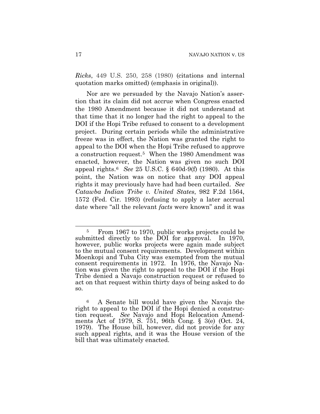*Ricks*, 449 U.S. 250, 258 (1980) (citations and internal quotation marks omitted) (emphasis in original)).

Nor are we persuaded by the Navajo Nation's assertion that its claim did not accrue when Congress enacted the 1980 Amendment because it did not understand at that time that it no longer had the right to appeal to the DOI if the Hopi Tribe refused to consent to a development project. During certain periods while the administrative freeze was in effect, the Nation was granted the right to appeal to the DOI when the Hopi Tribe refused to approve a construction request.[5](#page-16-0) When the 1980 Amendment was enacted, however, the Nation was given no such DOI appeal rights.[6](#page-16-1) *See* 25 U.S.C. § 640d-9(f) (1980). At this point, the Nation was on notice that any DOI appeal rights it may previously have had had been curtailed.*See Catawba Indian Tribe v. United States*, 982 F.2d 1564, 1572 (Fed. Cir. 1993) (refusing to apply a later accrual date where "all the relevant *facts* were known" and it was

<span id="page-16-0"></span><sup>1</sup> <sup>5</sup> From 1967 to 1970, public works projects could be submitted directly to the DOI for approval. In 1970, however, public works projects were again made subject to the mutual consent requirements. Development within Moenkopi and Tuba City was exempted from the mutual consent requirements in 1972. In 1976, the Navajo Nation was given the right to appeal to the DOI if the Hopi Tribe denied a Navajo construction request or refused to act on that request within thirty days of being asked to do so.

<span id="page-16-1"></span><sup>6</sup> A Senate bill would have given the Navajo the right to appeal to the DOI if the Hopi denied a construction request. *See* Navajo and Hopi Relocation Amendments Act of 1979, S. 751, 96th Cong. § 3(e) (Oct. 24, 1979). The House bill, however, did not provide for any such appeal rights, and it was the House version of the bill that was ultimately enacted.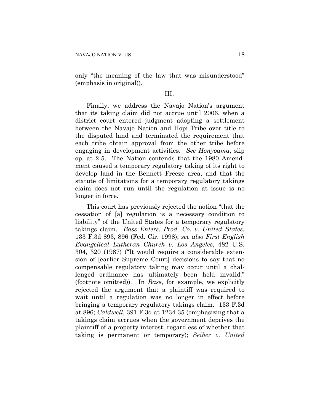only "the meaning of the law that was misunderstood" (emphasis in original)).

#### III.

Finally, we address the Navajo Nation's argument that its taking claim did not accrue until 2006, when a district court entered judgment adopting a settlement between the Navajo Nation and Hopi Tribe over title to the disputed land and terminated the requirement that each tribe obtain approval from the other tribe before engaging in development activities. *See Honyoama*, slip op. at 2-5. The Nation contends that the 1980 Amendment caused a temporary regulatory taking of its right to develop land in the Bennett Freeze area, and that the statute of limitations for a temporary regulatory takings claim does not run until the regulation at issue is no longer in force.

This court has previously rejected the notion "that the cessation of [a] regulation is a necessary condition to liability" of the United States for a temporary regulatory takings claim. *Bass Enters. Prod. Co. v. United States*, 133 F.3d 893, 896 (Fed. Cir. 1998); *see also First English Evangelical Lutheran Church v. Los Angeles*, 482 U.S. 304, 320 (1987) ("It would require a considerable extension of [earlier Supreme Court] decisions to say that no compensable regulatory taking may occur until a challenged ordinance has ultimately been held invalid." (footnote omitted)). In *Bass*, for example, we explicitly rejected the argument that a plaintiff was required to wait until a regulation was no longer in effect before bringing a temporary regulatory takings claim. 133 F.3d at 896; *Caldwell*, 391 F.3d at 1234-35 (emphasizing that a takings claim accrues when the government deprives the plaintiff of a property interest, regardless of whether that taking is permanent or temporary); *Seiber v. United*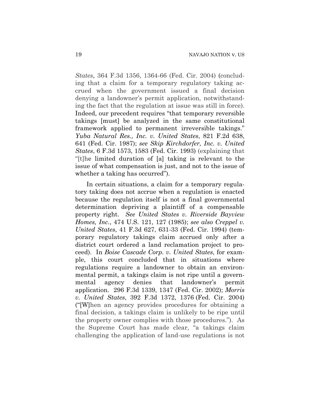*States*, 364 F.3d 1356, 1364-66 (Fed. Cir. 2004) (concluding that a claim for a temporary regulatory taking accrued when the government issued a final decision denying a landowner's permit application, notwithstanding the fact that the regulation at issue was still in force). Indeed, our precedent requires "that temporary reversible takings [must] be analyzed in the same constitutional framework applied to permanent irreversible takings." *Yuba Natural Res., Inc. v. United States*, 821 F.2d 638, 641 (Fed. Cir. 1987); *see Skip Kirchdorfer, Inc. v. United States*, 6 F.3d 1573, 1583 (Fed. Cir. 1993) (explaining that "[t]he limited duration of [a] taking is relevant to the issue of what compensation is just, and not to the issue of whether a taking has occurred".

In certain situations, a claim for a temporary regulatory taking does not accrue when a regulation is enacted because the regulation itself is not a final governmental determination depriving a plaintiff of a compensable property right. *See United States v. Riverside Bayview Homes, Inc.*, 474 U.S. 121, 127 (1985); *see also Creppel v. United States*, 41 F.3d 627, 631-33 (Fed. Cir. 1994) (temporary regulatory takings claim accrued only after a district court ordered a land reclamation project to proceed). In *Boise Cascade Corp. v. United States*, for example, this court concluded that in situations where regulations require a landowner to obtain an environmental permit, a takings claim is not ripe until a governmental agency denies that landowner's permit application. 296 F.3d 1339, 1347 (Fed. Cir. 2002); *Morris v. United States*, 392 F.3d 1372, 1376 (Fed. Cir. 2004) ("[W]hen an agency provides procedures for obtaining a final decision, a takings claim is unlikely to be ripe until the property owner complies with those procedures."). As the Supreme Court has made clear, "a takings claim challenging the application of land-use regulations is not